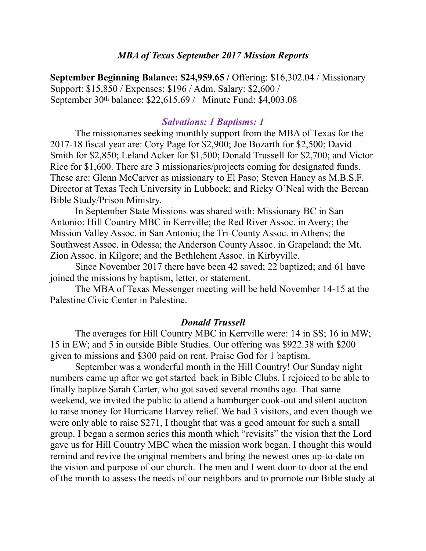# *MBA of Texas September 2017 Mission Reports*

**September Beginning Balance: \$24,959.65 /** Offering: \$16,302.04 / Missionary Support: \$15,850 / Expenses: \$196 / Adm. Salary: \$2,600 / September 30th balance: \$22,615.69 / Minute Fund: \$4,003.08

#### *Salvations: 1 Baptisms: 1*

 The missionaries seeking monthly support from the MBA of Texas for the 2017-18 fiscal year are: Cory Page for \$2,900; Joe Bozarth for \$2,500; David Smith for \$2,850; Leland Acker for \$1,500; Donald Trussell for \$2,700; and Victor Rice for \$1,600. There are 3 missionaries/projects coming for designated funds. These are: Glenn McCarver as missionary to El Paso; Steven Haney as M.B.S.F. Director at Texas Tech University in Lubbock; and Ricky O'Neal with the Berean Bible Study/Prison Ministry.

 In September State Missions was shared with: Missionary BC in San Antonio; Hill Country MBC in Kerrville; the Red River Assoc. in Avery; the Mission Valley Assoc. in San Antonio; the Tri-County Assoc. in Athens; the Southwest Assoc. in Odessa; the Anderson County Assoc. in Grapeland; the Mt. Zion Assoc. in Kilgore; and the Bethlehem Assoc. in Kirbyville.

 Since November 2017 there have been 42 saved; 22 baptized; and 61 have joined the missions by baptism, letter, or statement.

 The MBA of Texas Messenger meeting will be held November 14-15 at the Palestine Civic Center in Palestine.

### *Donald Trussell*

 The averages for Hill Country MBC in Kerrville were: 14 in SS; 16 in MW; 15 in EW; and 5 in outside Bible Studies. Our offering was \$922.38 with \$200 given to missions and \$300 paid on rent. Praise God for 1 baptism.

September was a wonderful month in the Hill Country! Our Sunday night numbers came up after we got started back in Bible Clubs. I rejoiced to be able to finally baptize Sarah Carter, who got saved several months ago. That same weekend, we invited the public to attend a hamburger cook-out and silent auction to raise money for Hurricane Harvey relief. We had 3 visitors, and even though we were only able to raise \$271, I thought that was a good amount for such a small group. I began a sermon series this month which "revisits" the vision that the Lord gave us for Hill Country MBC when the mission work began. I thought this would remind and revive the original members and bring the newest ones up-to-date on the vision and purpose of our church. The men and I went door-to-door at the end of the month to assess the needs of our neighbors and to promote our Bible study at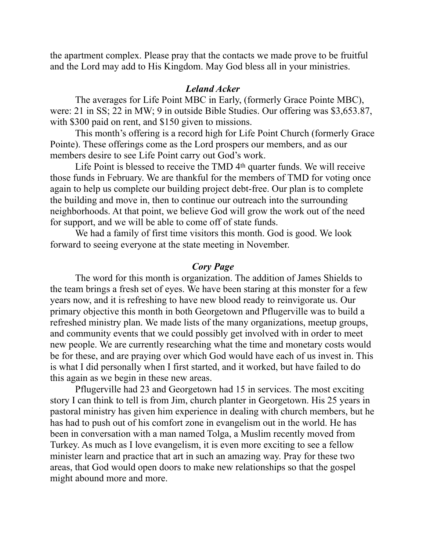the apartment complex. Please pray that the contacts we made prove to be fruitful and the Lord may add to His Kingdom. May God bless all in your ministries.

# *Leland Acker*

 The averages for Life Point MBC in Early, (formerly Grace Pointe MBC), were: 21 in SS; 22 in MW; 9 in outside Bible Studies. Our offering was \$3,653.87, with \$300 paid on rent, and \$150 given to missions.

 This month's offering is a record high for Life Point Church (formerly Grace Pointe). These offerings come as the Lord prospers our members, and as our members desire to see Life Point carry out God's work.

Life Point is blessed to receive the TMD 4<sup>th</sup> quarter funds. We will receive those funds in February. We are thankful for the members of TMD for voting once again to help us complete our building project debt-free. Our plan is to complete the building and move in, then to continue our outreach into the surrounding neighborhoods. At that point, we believe God will grow the work out of the need for support, and we will be able to come off of state funds.

 We had a family of first time visitors this month. God is good. We look forward to seeing everyone at the state meeting in November.

# *Cory Page*

 The word for this month is organization. The addition of James Shields to the team brings a fresh set of eyes. We have been staring at this monster for a few years now, and it is refreshing to have new blood ready to reinvigorate us. Our primary objective this month in both Georgetown and Pflugerville was to build a refreshed ministry plan. We made lists of the many organizations, meetup groups, and community events that we could possibly get involved with in order to meet new people. We are currently researching what the time and monetary costs would be for these, and are praying over which God would have each of us invest in. This is what I did personally when I first started, and it worked, but have failed to do this again as we begin in these new areas.

 Pflugerville had 23 and Georgetown had 15 in services. The most exciting story I can think to tell is from Jim, church planter in Georgetown. His 25 years in pastoral ministry has given him experience in dealing with church members, but he has had to push out of his comfort zone in evangelism out in the world. He has been in conversation with a man named Tolga, a Muslim recently moved from Turkey. As much as I love evangelism, it is even more exciting to see a fellow minister learn and practice that art in such an amazing way. Pray for these two areas, that God would open doors to make new relationships so that the gospel might abound more and more.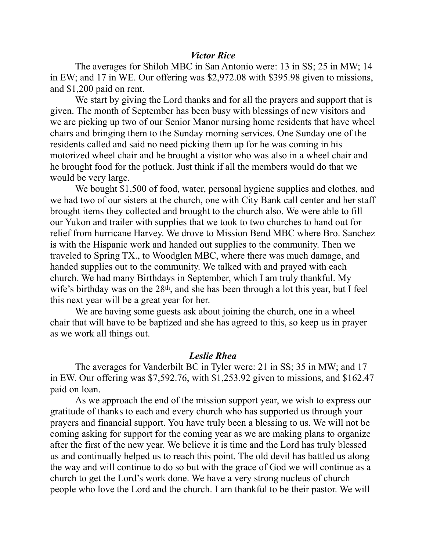### *Victor Rice*

 The averages for Shiloh MBC in San Antonio were: 13 in SS; 25 in MW; 14 in EW; and 17 in WE. Our offering was \$2,972.08 with \$395.98 given to missions, and \$1,200 paid on rent.

 We start by giving the Lord thanks and for all the prayers and support that is given. The month of September has been busy with blessings of new visitors and we are picking up two of our Senior Manor nursing home residents that have wheel chairs and bringing them to the Sunday morning services. One Sunday one of the residents called and said no need picking them up for he was coming in his motorized wheel chair and he brought a visitor who was also in a wheel chair and he brought food for the potluck. Just think if all the members would do that we would be very large.

 We bought \$1,500 of food, water, personal hygiene supplies and clothes, and we had two of our sisters at the church, one with City Bank call center and her staff brought items they collected and brought to the church also. We were able to fill our Yukon and trailer with supplies that we took to two churches to hand out for relief from hurricane Harvey. We drove to Mission Bend MBC where Bro. Sanchez is with the Hispanic work and handed out supplies to the community. Then we traveled to Spring TX., to Woodglen MBC, where there was much damage, and handed supplies out to the community. We talked with and prayed with each church. We had many Birthdays in September, which I am truly thankful. My wife's birthday was on the 28<sup>th</sup>, and she has been through a lot this year, but I feel this next year will be a great year for her.

 We are having some guests ask about joining the church, one in a wheel chair that will have to be baptized and she has agreed to this, so keep us in prayer as we work all things out.

## *Leslie Rhea*

 The averages for Vanderbilt BC in Tyler were: 21 in SS; 35 in MW; and 17 in EW. Our offering was \$7,592.76, with \$1,253.92 given to missions, and \$162.47 paid on loan.

 As we approach the end of the mission support year, we wish to express our gratitude of thanks to each and every church who has supported us through your prayers and financial support. You have truly been a blessing to us. We will not be coming asking for support for the coming year as we are making plans to organize after the first of the new year. We believe it is time and the Lord has truly blessed us and continually helped us to reach this point. The old devil has battled us along the way and will continue to do so but with the grace of God we will continue as a church to get the Lord's work done. We have a very strong nucleus of church people who love the Lord and the church. I am thankful to be their pastor. We will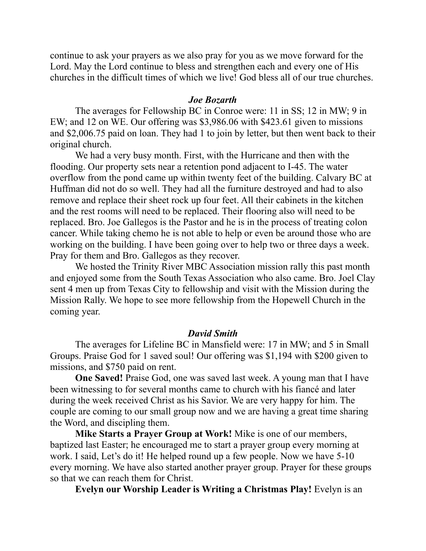continue to ask your prayers as we also pray for you as we move forward for the Lord. May the Lord continue to bless and strengthen each and every one of His churches in the difficult times of which we live! God bless all of our true churches.

#### *Joe Bozarth*

 The averages for Fellowship BC in Conroe were: 11 in SS; 12 in MW; 9 in EW; and 12 on WE. Our offering was \$3,986.06 with \$423.61 given to missions and \$2,006.75 paid on loan. They had 1 to join by letter, but then went back to their original church.

 We had a very busy month. First, with the Hurricane and then with the flooding. Our property sets near a retention pond adjacent to I-45. The water overflow from the pond came up within twenty feet of the building. Calvary BC at Huffman did not do so well. They had all the furniture destroyed and had to also remove and replace their sheet rock up four feet. All their cabinets in the kitchen and the rest rooms will need to be replaced. Their flooring also will need to be replaced. Bro. Joe Gallegos is the Pastor and he is in the process of treating colon cancer. While taking chemo he is not able to help or even be around those who are working on the building. I have been going over to help two or three days a week. Pray for them and Bro. Gallegos as they recover.

 We hosted the Trinity River MBC Association mission rally this past month and enjoyed some from the South Texas Association who also came. Bro. Joel Clay sent 4 men up from Texas City to fellowship and visit with the Mission during the Mission Rally. We hope to see more fellowship from the Hopewell Church in the coming year.

## *David Smith*

 The averages for Lifeline BC in Mansfield were: 17 in MW; and 5 in Small Groups. Praise God for 1 saved soul! Our offering was \$1,194 with \$200 given to missions, and \$750 paid on rent.

**One Saved!** Praise God, one was saved last week. A young man that I have been witnessing to for several months came to church with his fiancé and later during the week received Christ as his Savior. We are very happy for him. The couple are coming to our small group now and we are having a great time sharing the Word, and discipling them.

**Mike Starts a Prayer Group at Work!** Mike is one of our members, baptized last Easter; he encouraged me to start a prayer group every morning at work. I said, Let's do it! He helped round up a few people. Now we have 5-10 every morning. We have also started another prayer group. Prayer for these groups so that we can reach them for Christ.

**Evelyn our Worship Leader is Writing a Christmas Play!** Evelyn is an